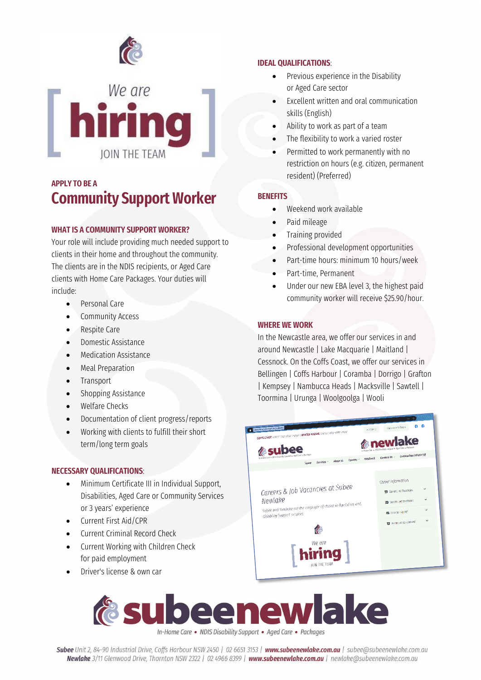



## **APPLY TO BE A Community Support Worker**

### **WHAT IS A COMMUNITY SUPPORT WORKER?**

Your role will include providing much needed support to clients in their home and throughout the community. The clients are in the NDIS recipients, or Aged Care clients with Home Care Packages. Your duties will include:

- Personal Care
- Community Access
- Respite Care
- Domestic Assistance
- Medication Assistance
- Meal Preparation
- **Transport**
- Shopping Assistance
- Welfare Checks
- Documentation of client progress/reports
- Working with clients to fulfill their short term/long term goals

### **NECESSARY QUALIFICATIONS**:

- Minimum Certificate III in Individual Support, Disabilities, Aged Care or Community Services or 3 years' experience
- Current First Aid/CPR
- Current Criminal Record Check
- Current Working with Children Check for paid employment
- Driver's license & own car

### **IDEAL QUALIFICATIONS**:

- Previous experience in the Disability or Aged Care sector
- Excellent written and oral communication skills (English)
- Ability to work as part of a team
- The flexibility to work a varied roster
- Permitted to work permanently with no restriction on hours (e.g. citizen, permanent resident) (Preferred)

### **BENEFITS**

- Weekend work available
- Paid mileage
- Training provided
- Professional development opportunities
- Part-time hours: minimum 10 hours/week
- Part-time, Permanent
- Under our new EBA level 3, the highest paid community worker will receive \$25.90/hour.

### **WHERE WE WORK**

In the Newcastle area, we offer our services in and around Newcastle | Lake Macquarie | Maitland | Cessnock. On the Coffs Coast, we offer our services in Bellingen | Coffs Harbour | Coramba | Dorrigo | Grafton | Kempsey | Nambucca Heads | Macksville | Sawtell | Toormina | Urunga | Woolgoolga | Wooli





Subee Unit 2, 84-90 Industrial Drive, Coffs Harbour NSW 2450 | 02 6651 3153 | www.subeenewlake.com.au | subee@subeenewlake.com.au Newlake 3/11 Glenwood Drive, Thornton NSW 2322 | 02 4966 8399 | www.subeenewlake.com.au | newlake@subeenewlake.com.au